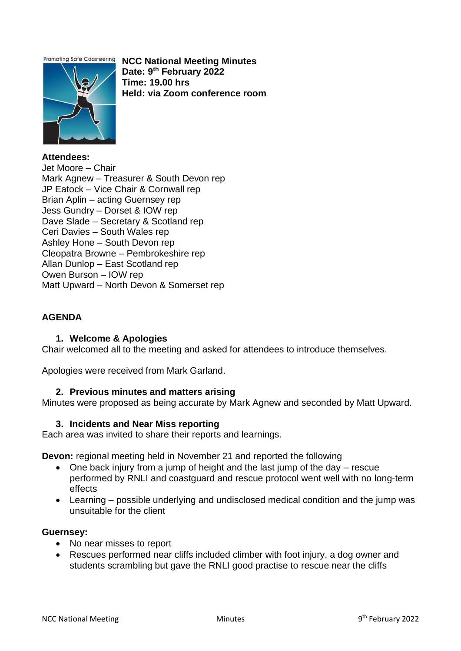**Promoting Safe Coasteering** 



**NCC National Meeting Minutes Date: 9th February 2022 Time: 19.00 hrs Held: via Zoom conference room** 

**Attendees:** Jet Moore – Chair Mark Agnew – Treasurer & South Devon rep JP Eatock – Vice Chair & Cornwall rep Brian Aplin – acting Guernsey rep Jess Gundry – Dorset & IOW rep Dave Slade – Secretary & Scotland rep Ceri Davies – South Wales rep Ashley Hone – South Devon rep Cleopatra Browne – Pembrokeshire rep Allan Dunlop – East Scotland rep Owen Burson – IOW rep Matt Upward – North Devon & Somerset rep

# **AGENDA**

## **1. Welcome & Apologies**

Chair welcomed all to the meeting and asked for attendees to introduce themselves.

Apologies were received from Mark Garland.

#### **2. Previous minutes and matters arising**

Minutes were proposed as being accurate by Mark Agnew and seconded by Matt Upward.

#### **3. Incidents and Near Miss reporting**

Each area was invited to share their reports and learnings.

**Devon:** regional meeting held in November 21 and reported the following

- One back injury from a jump of height and the last jump of the day rescue performed by RNLI and coastguard and rescue protocol went well with no long-term effects
- Learning possible underlying and undisclosed medical condition and the jump was unsuitable for the client

#### **Guernsey:**

- No near misses to report
- Rescues performed near cliffs included climber with foot injury, a dog owner and students scrambling but gave the RNLI good practise to rescue near the cliffs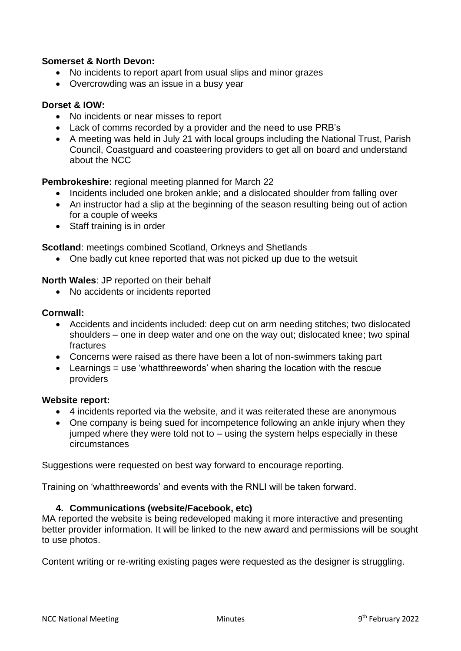## **Somerset & North Devon:**

- No incidents to report apart from usual slips and minor grazes
- Overcrowding was an issue in a busy year

## **Dorset & IOW:**

- No incidents or near misses to report
- Lack of comms recorded by a provider and the need to use PRB's
- A meeting was held in July 21 with local groups including the National Trust, Parish Council, Coastguard and coasteering providers to get all on board and understand about the NCC

**Pembrokeshire:** regional meeting planned for March 22

- Incidents included one broken ankle; and a dislocated shoulder from falling over
- An instructor had a slip at the beginning of the season resulting being out of action for a couple of weeks
- Staff training is in order

**Scotland**: meetings combined Scotland, Orkneys and Shetlands

• One badly cut knee reported that was not picked up due to the wetsuit

**North Wales**: JP reported on their behalf

• No accidents or incidents reported

#### **Cornwall:**

- Accidents and incidents included: deep cut on arm needing stitches; two dislocated shoulders – one in deep water and one on the way out; dislocated knee; two spinal fractures
- Concerns were raised as there have been a lot of non-swimmers taking part
- $\bullet$  Learnings = use 'whatthreewords' when sharing the location with the rescue providers

#### **Website report:**

- 4 incidents reported via the website, and it was reiterated these are anonymous
- One company is being sued for incompetence following an ankle injury when they jumped where they were told not to – using the system helps especially in these circumstances

Suggestions were requested on best way forward to encourage reporting.

Training on 'whatthreewords' and events with the RNLI will be taken forward.

#### **4. Communications (website/Facebook, etc)**

MA reported the website is being redeveloped making it more interactive and presenting better provider information. It will be linked to the new award and permissions will be sought to use photos.

Content writing or re-writing existing pages were requested as the designer is struggling.